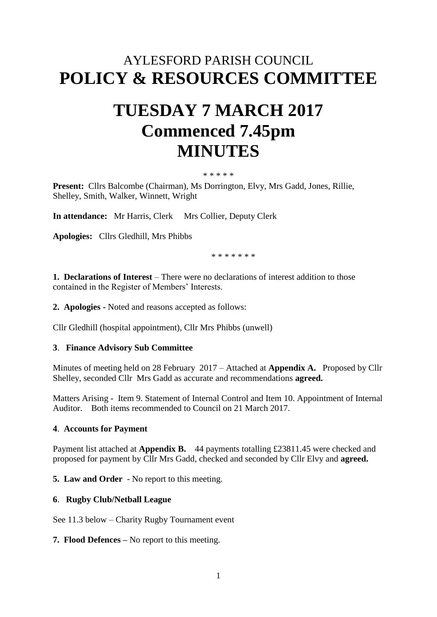# AYLESFORD PARISH COUNCIL **POLICY & RESOURCES COMMITTEE**

# **TUESDAY 7 MARCH 2017 Commenced 7.45pm MINUTES**

#### \* \* \* \* \*

**Present:** Cllrs Balcombe (Chairman), Ms Dorrington, Elvy, Mrs Gadd, Jones, Rillie, Shelley, Smith, Walker, Winnett, Wright

**In attendance:** Mr Harris, Clerk Mrs Collier, Deputy Clerk

**Apologies:** Cllrs Gledhill, Mrs Phibbs

\* \* \* \* \* \* \*

**1. Declarations of Interest** – There were no declarations of interest addition to those contained in the Register of Members' Interests.

**2. Apologies -** Noted and reasons accepted as follows:

Cllr Gledhill (hospital appointment), Cllr Mrs Phibbs (unwell)

#### **3**. **Finance Advisory Sub Committee**

Minutes of meeting held on 28 February 2017 – Attached at **Appendix A.** Proposed by Cllr Shelley, seconded Cllr Mrs Gadd as accurate and recommendations **agreed.**

Matters Arising - Item 9. Statement of Internal Control and Item 10. Appointment of Internal Auditor. Both items recommended to Council on 21 March 2017.

### **4**. **Accounts for Payment**

Payment list attached at **Appendix B.** 44 payments totalling £23811.45 were checked and proposed for payment by Cllr Mrs Gadd, checked and seconded by Cllr Elvy and **agreed.**

**5. Law and Order** - No report to this meeting.

#### **6**. **Rugby Club/Netball League**

See 11.3 below – Charity Rugby Tournament event

#### **7. Flood Defences –** No report to this meeting.